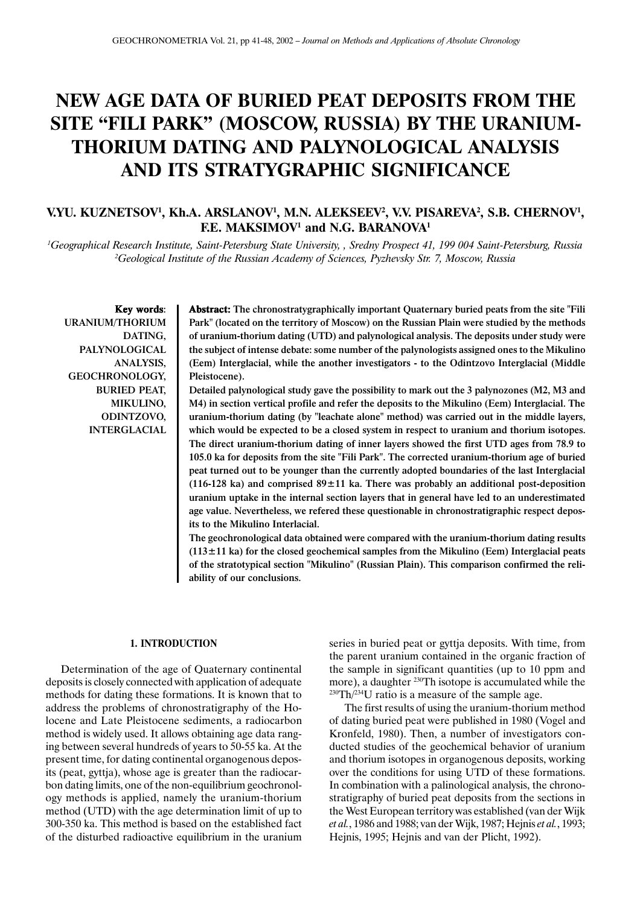# **NEW AGE DATA OF BURIED PEAT DEPOSITS FROM THE SITE "FILI PARK" (MOSCOW, RUSSIA) BY THE URANIUM-THORIUM DATING AND PALYNOLOGICAL ANALYSIS AND ITS STRATYGRAPHIC SIGNIFICANCE**

# V.YU. KUZNETSOV<sup>1</sup>, Kh.A. ARSLANOV<sup>1</sup>, M.N. ALEKSEEV<sup>2</sup>, V.V. PISAREVA<sup>2</sup>, S.B. CHERNOV<sup>1</sup>, **F.E. MAKSIMOV<sup>1</sup> and N.G. BARANOVA<sup>1</sup>**

*1 Geographical Research Institute, Saint-Petersburg State University, , Sredny Prospect 41, 199 004 Saint-Petersburg, Russia 2 Geological Institute of the Russian Academy of Sciences, Pyzhevsky Str. 7, Moscow, Russia*

Key words: URANIUM/THORIUM DATING, PALYNOLOGICAL ANALYSIS, GEOCHRONOLOGY, BURIED PEAT, MIKULINO, ODINTZOVO, INTERGLACIAL Abstract: The chronostratygraphically important Quaternary buried peats from the site "Fili Park" (located on the territory of Moscow) on the Russian Plain were studied by the methods of uranium-thorium dating (UTD) and palynological analysis. The deposits under study were the subject of intense debate: some number of the palynologists assigned ones to the Mikulino (Eem) Interglacial, while the another investigators - to the Odintzovo Interglacial (Middle Pleistocene).

Detailed palynological study gave the possibility to mark out the 3 palynozones (M2, M3 and M4) in section vertical profile and refer the deposits to the Mikulino (Eem) Interglacial. The uranium-thorium dating (by "leachate alone" method) was carried out in the middle layers, which would be expected to be a closed system in respect to uranium and thorium isotopes. The direct uranium-thorium dating of inner layers showed the first UTD ages from 78.9 to 105.0 ka for deposits from the site "Fili Park". The corrected uranium-thorium age of buried peat turned out to be younger than the currently adopted boundaries of the last Interglacial (116-128 ka) and comprised  $89 \pm 11$  ka. There was probably an additional post-deposition uranium uptake in the internal section layers that in general have led to an underestimated age value. Nevertheless, we refered these questionable in chronostratigraphic respect deposits to the Mikulino Interlacial.

The geochronological data obtained were compared with the uranium-thorium dating results  $(113±11$  ka) for the closed geochemical samples from the Mikulino (Eem) Interglacial peats of the stratotypical section "Mikulino" (Russian Plain). This comparison confirmed the reliability of our conclusions.

#### **1. INTRODUCTION**

Determination of the age of Quaternary continental deposits is closely connected with application of adequate methods for dating these formations. It is known that to address the problems of chronostratigraphy of the Holocene and Late Pleistocene sediments, a radiocarbon method is widely used. It allows obtaining age data ranging between several hundreds of years to 50-55 ka. At the present time, for dating continental organogenous deposits (peat, gyttja), whose age is greater than the radiocarbon dating limits, one of the non-equilibrium geochronology methods is applied, namely the uranium-thorium method (UTD) with the age determination limit of up to 300-350 ka. This method is based on the established fact of the disturbed radioactive equilibrium in the uranium series in buried peat or gyttja deposits. With time, from the parent uranium contained in the organic fraction of the sample in significant quantities (up to 10 ppm and more), a daughter 230Th isotope is accumulated while the  $230 \text{Th}/234 \text{U}$  ratio is a measure of the sample age.

The first results of using the uranium-thorium method of dating buried peat were published in 1980 (Vogel and Kronfeld, 1980). Then, a number of investigators conducted studies of the geochemical behavior of uranium and thorium isotopes in organogenous deposits, working over the conditions for using UTD of these formations. In combination with a palinological analysis, the chronostratigraphy of buried peat deposits from the sections in the West European territory was established (van der Wijk *et al.*, 1986 and 1988; van der Wijk, 1987; Hejnis *et al.*, 1993; Hejnis, 1995; Hejnis and van der Plicht, 1992).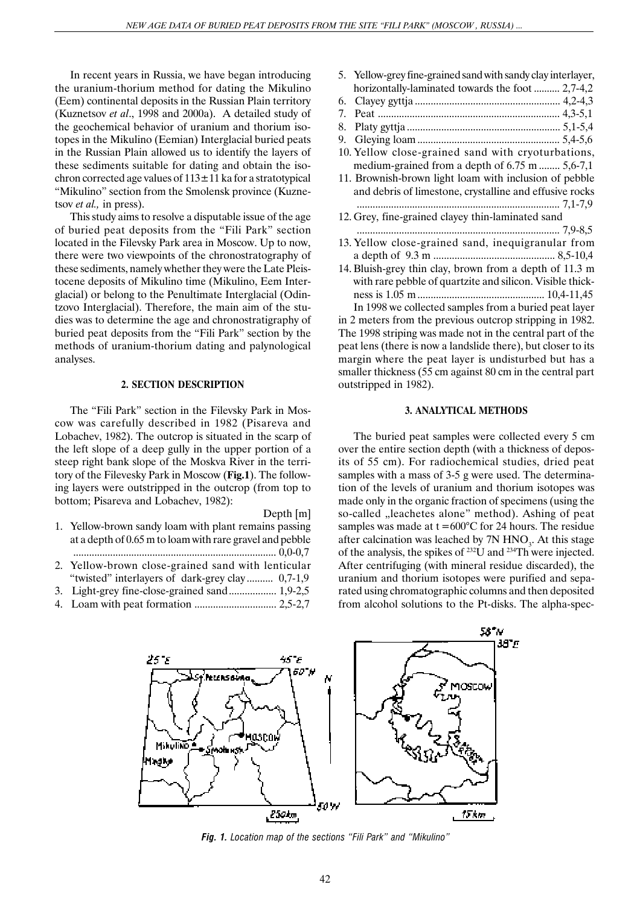In recent years in Russia, we have began introducing the uranium-thorium method for dating the Mikulino (Eem) continental deposits in the Russian Plain territory (Kuznetsov *et al*., 1998 and 2000a). A detailed study of the geochemical behavior of uranium and thorium isotopes in the Mikulino (Eemian) Interglacial buried peats in the Russian Plain allowed us to identify the layers of these sediments suitable for dating and obtain the isochron corrected age values of  $113 \pm 11$  ka for a stratotypical "Mikulino" section from the Smolensk province (Kuznetsov *et al.,* in press).

This study aims to resolve a disputable issue of the age of buried peat deposits from the "Fili Park" section located in the Filevsky Park area in Moscow. Up to now, there were two viewpoints of the chronostratography of these sediments, namely whether they were the Late Pleistocene deposits of Mikulino time (Mikulino, Eem Interglacial) or belong to the Penultimate Interglacial (Odintzovo Interglacial). Therefore, the main aim of the studies was to determine the age and chronostratigraphy of buried peat deposits from the "Fili Park" section by the methods of uranium-thorium dating and palynological analyses.

## **2. SECTION DESCRIPTION**

The "Fili Park" section in the Filevsky Park in Moscow was carefully described in 1982 (Pisareva and Lobachev, 1982). The outcrop is situated in the scarp of the left slope of a deep gully in the upper portion of a steep right bank slope of the Moskva River in the territory of the Filevesky Park in Moscow (**Fig.1**). The following layers were outstripped in the outcrop (from top to bottom; Pisareva and Lobachev, 1982):

#### Depth [m]

- 1. Yellow-brown sandy loam with plant remains passing at a depth of 0.65 m to loam with rare gravel and pebble ............................................................................. 0,0-0,7
- 2. Yellow-brown close-grained sand with lenticular "twisted" interlayers of dark-grey clay .......... 0,7-1,9
- 3. Light-grey fine-close-grained sand.................. 1,9-2,5
- 4. Loam with peat formation ............................... 2,5-2,7

5. Yellow-grey fine-grained sand with sandy clay interlayer, horizontally-laminated towards the foot .......... 2,7-4,2 6. Clayey gyttja ....................................................... 4,2-4,3 7. Peat ..................................................................... 4,3-5,1 8. Platy gyttja .......................................................... 5,1-5,4 9. Gleying loam ...................................................... 5,4-5,6 10. Yellow close-grained sand with cryoturbations, medium-grained from a depth of 6.75 m ........ 5,6-7,1 11. Brownish-brown light loam with inclusion of pebble and debris of limestone, crystalline and effusive rocks ............................................................................. 7,1-7,9 12. Grey, fine-grained clayey thin-laminated sand ............................................................................. 7,9-8,5 13. Yellow close-grained sand, inequigranular from a depth of 9.3 m .............................................. 8,5-10,4 14. Bluish-grey thin clay, brown from a depth of 11.3 m with rare pebble of quartzite and silicon. Visible thickness is 1.05 m ................................................ 10,4-11,45 In 1998 we collected samples from a buried peat layer

in 2 meters from the previous outcrop stripping in 1982. The 1998 striping was made not in the central part of the peat lens (there is now a landslide there), but closer to its margin where the peat layer is undisturbed but has a smaller thickness (55 cm against 80 cm in the central part outstripped in 1982).

#### **3. ANALYTICAL METHODS**

The buried peat samples were collected every 5 cm over the entire section depth (with a thickness of deposits of 55 cm). For radiochemical studies, dried peat samples with a mass of 3-5 g were used. The determination of the levels of uranium and thorium isotopes was made only in the organic fraction of specimens (using the so-called "leachetes alone" method). Ashing of peat samples was made at  $t = 600^{\circ}$ C for 24 hours. The residue after calcination was leached by  $7N HNO<sub>3</sub>$ . At this stage of the analysis, the spikes of 232U and 234Th were injected. After centrifuging (with mineral residue discarded), the uranium and thorium isotopes were purified and separated using chromatographic columns and then deposited from alcohol solutions to the Pt-disks. The alpha-spec-



*Fig. 1. Location map of the sections "Fili Park" and "Mikulino"*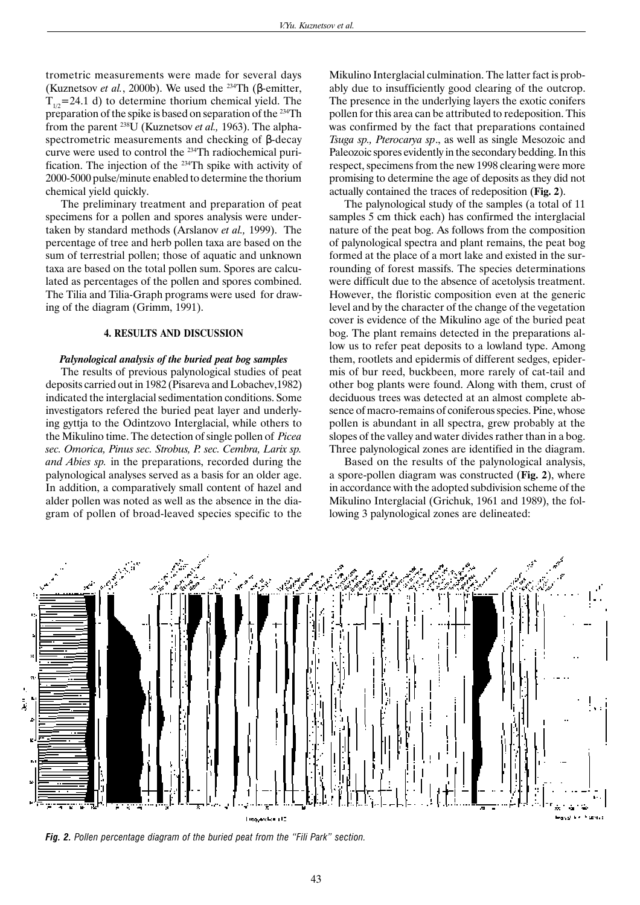trometric measurements were made for several days (Kuznetsov *et al.*, 2000b). We used the <sup>234</sup>Th ( $\beta$ -emitter,  $T_{1/2}$ =24.1 d) to determine thorium chemical yield. The preparation of the spike is based on separation of the 234Th from the parent 238U (Kuznetsov *et al.,* 1963). The alphaspectrometric measurements and checking of β-decay curve were used to control the 234Th radiochemical purification. The injection of the 234Th spike with activity of 2000-5000 pulse/minute enabled to determine the thorium chemical yield quickly.

The preliminary treatment and preparation of peat specimens for a pollen and spores analysis were undertaken by standard methods (Arslanov *et al.,* 1999). The percentage of tree and herb pollen taxa are based on the sum of terrestrial pollen; those of aquatic and unknown taxa are based on the total pollen sum. Spores are calculated as percentages of the pollen and spores combined. The Tilia and Tilia-Graph programs were used for drawing of the diagram (Grimm, 1991).

#### **4. RESULTS AND DISCUSSION**

#### *Palynological analysis of the buried peat bog samples*

The results of previous palynological studies of peat deposits carried out in 1982 (Pisareva and Lobachev,1982) indicated the interglacial sedimentation conditions. Some investigators refered the buried peat layer and underlying gyttja to the Odintzovo Interglacial, while others to the Mikulino time. The detection of single pollen of *Picea sec. Omorica, Pinus sec. Strobus, P. sec. Cembra, Larix sp. and Abies sp.* in the preparations, recorded during the palynological analyses served as a basis for an older age. In addition, a comparatively small content of hazel and alder pollen was noted as well as the absence in the diagram of pollen of broad-leaved species specific to the Mikulino Interglacial culmination. The latter fact is probably due to insufficiently good clearing of the outcrop. The presence in the underlying layers the exotic conifers pollen for this area can be attributed to redeposition. This was confirmed by the fact that preparations contained *Tsuga sp., Pterocarya sp*., as well as single Mesozoic and Paleozoic spores evidently in the secondary bedding. In this respect, specimens from the new 1998 clearing were more promising to determine the age of deposits as they did not actually contained the traces of redeposition (**Fig. 2**).

The palynological study of the samples (a total of 11 samples 5 cm thick each) has confirmed the interglacial nature of the peat bog. As follows from the composition of palynological spectra and plant remains, the peat bog formed at the place of a mort lake and existed in the surrounding of forest massifs. The species determinations were difficult due to the absence of acetolysis treatment. However, the floristic composition even at the generic level and by the character of the change of the vegetation cover is evidence of the Mikulino age of the buried peat bog. The plant remains detected in the preparations allow us to refer peat deposits to a lowland type. Among them, rootlets and epidermis of different sedges, epidermis of bur reed, buckbeen, more rarely of cat-tail and other bog plants were found. Along with them, crust of deciduous trees was detected at an almost complete absence of macro-remains of coniferous species. Pine, whose pollen is abundant in all spectra, grew probably at the slopes of the valley and water divides rather than in a bog. Three palynological zones are identified in the diagram.

Based on the results of the palynological analysis, a spore-pollen diagram was constructed (**Fig. 2**), where in accordance with the adopted subdivision scheme of the Mikulino Interglacial (Grichuk, 1961 and 1989), the following 3 palynological zones are delineated:



*Fig. 2. Pollen percentage diagram of the buried peat from the "Fili Park" section.*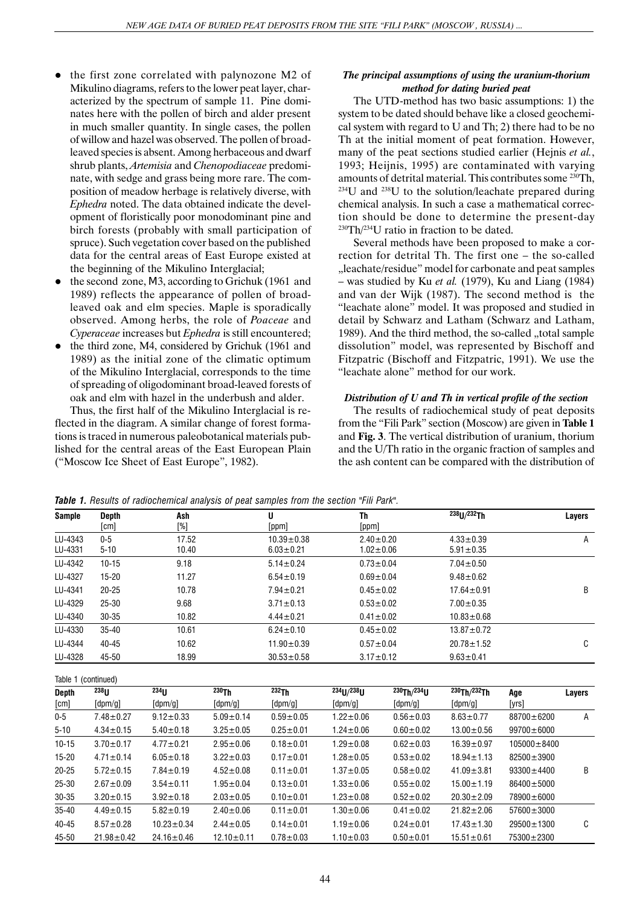- the first zone correlated with palynozone M2 of Mikulino diagrams, refers to the lower peat layer, characterized by the spectrum of sample 11. Pine dominates here with the pollen of birch and alder present in much smaller quantity. In single cases, the pollen of willow and hazel was observed. The pollen of broadleaved species is absent. Among herbaceous and dwarf shrub plants, *Artemisia* and *Chenopodiaceae* predominate, with sedge and grass being more rare. The composition of meadow herbage is relatively diverse, with *Ephedra* noted. The data obtained indicate the development of floristically poor monodominant pine and birch forests (probably with small participation of spruce). Such vegetation cover based on the published data for the central areas of East Europe existed at the beginning of the Mikulino Interglacial;
- the second zone, M3, according to Grichuk (1961 and 1989) reflects the appearance of pollen of broadleaved oak and elm species. Maple is sporadically observed. Among herbs, the role of *Poaceae* and *Cyperaceae* increases but *Ephedra* is still encountered;
- the third zone, M4, considered by Grichuk (1961 and 1989) as the initial zone of the climatic optimum of the Mikulino Interglacial, corresponds to the time of spreading of oligodominant broad-leaved forests of oak and elm with hazel in the underbush and alder.

Thus, the first half of the Mikulino Interglacial is reflected in the diagram. A similar change of forest formations is traced in numerous paleobotanical materials published for the central areas of the East European Plain ("Moscow Ice Sheet of East Europe", 1982).

## *The principal assumptions of using the uranium-thorium method for dating buried peat*

The UTD-method has two basic assumptions: 1) the system to be dated should behave like a closed geochemical system with regard to U and Th; 2) there had to be no Th at the initial moment of peat formation. However, many of the peat sections studied earlier (Hejnis *et al.*, 1993; Heijnis, 1995) are contaminated with varying amounts of detrital material. This contributes some 230Th, 234U and 238U to the solution/leachate prepared during chemical analysis. In such a case a mathematical correction should be done to determine the present-day  $230$ Th $/234$ U ratio in fraction to be dated.

Several methods have been proposed to make a correction for detrital Th. The first one – the so-called "leachate/residue" model for carbonate and peat samples – was studied by Ku *et al.* (1979), Ku and Liang (1984) and van der Wijk (1987). The second method is the "leachate alone" model. It was proposed and studied in detail by Schwarz and Latham (Schwarz and Latham, 1989). And the third method, the so-called "total sample dissolution" model, was represented by Bischoff and Fitzpatric (Bischoff and Fitzpatric, 1991). We use the "leachate alone" method for our work.

# *Distribution of U and Th in vertical profile of the section*

The results of radiochemical study of peat deposits from the "Fili Park" section (Moscow) are given in **Table 1** and **Fig. 3**. The vertical distribution of uranium, thorium and the U/Th ratio in the organic fraction of samples and the ash content can be compared with the distribution of

*Table 1. Results of radiochemical analysis of peat samples from the section "Fili Park".*

| <b>Sample</b>        | <b>Depth</b>                                        | Ash<br>[%]                                          |                                               | U                                             | Th<br>[ppm]                       |                                                           | $238$ <sub>LJ</sub> $/232$ Th                              |                   | Layers |
|----------------------|-----------------------------------------------------|-----------------------------------------------------|-----------------------------------------------|-----------------------------------------------|-----------------------------------|-----------------------------------------------------------|------------------------------------------------------------|-------------------|--------|
|                      | [cm]                                                |                                                     |                                               | [ppm]                                         |                                   |                                                           |                                                            |                   |        |
| LU-4343              | $0-5$                                               | 17.52                                               |                                               | $10.39 \pm 0.38$                              | $2.40 \pm 0.20$                   |                                                           | $4.33 \pm 0.39$                                            |                   | Α      |
| LU-4331              | $5 - 10$                                            | 10.40                                               |                                               | $6.03 \pm 0.21$                               | $1.02 + 0.06$                     |                                                           | $5.91 \pm 0.35$                                            |                   |        |
| LU-4342              | $10 - 15$                                           | 9.18                                                |                                               | $5.14 \pm 0.24$                               | $0.73 \pm 0.04$                   |                                                           | $7.04 \pm 0.50$                                            |                   |        |
| LU-4327              | $15 - 20$                                           | 11.27                                               |                                               | $6.54 \pm 0.19$                               | $0.69 \pm 0.04$                   |                                                           | $9.48 \pm 0.62$                                            |                   |        |
| LU-4341              | $20 - 25$                                           | 10.78                                               |                                               | $7.94 \pm 0.21$                               | $0.45 \pm 0.02$                   |                                                           | $17.64 \pm 0.91$                                           |                   | B      |
| LU-4329              | 25-30                                               | 9.68                                                |                                               | $3.71 \pm 0.13$                               | $0.53 \pm 0.02$                   |                                                           | $7.00 \pm 0.35$                                            |                   |        |
| LU-4340              | 30-35                                               | 10.82                                               |                                               | $4.44 \pm 0.21$                               | $0.41 \pm 0.02$                   |                                                           | $10.83 \pm 0.68$                                           |                   |        |
| LU-4330              | $35 - 40$                                           | 10.61                                               |                                               | $6.24 \pm 0.10$                               | $0.45 \pm 0.02$                   |                                                           | $13.87 \pm 0.72$                                           |                   |        |
| LU-4344              | 40-45                                               | 10.62                                               |                                               | $11.90 \pm 0.39$                              | $0.57 \pm 0.04$                   |                                                           | $20.78 \pm 1.52$                                           |                   | C      |
| LU-4328              | 45-50                                               | 18.99                                               |                                               | $30.53 \pm 0.58$                              | $3.17 \pm 0.12$                   |                                                           | $9.63 \pm 0.41$                                            |                   |        |
| Table 1              | (continued)                                         |                                                     |                                               |                                               |                                   |                                                           |                                                            |                   |        |
| <b>Depth</b><br>[cm] | 238 <sub>11</sub><br>$\lceil \mathsf{dpm/g} \rceil$ | $234$ <sub>11</sub><br>$\lceil \text{dpm/g} \rceil$ | $^{230}$ Th<br>$\lceil \mathsf{dpm/g} \rceil$ | $^{232}$ Th<br>$\lceil \mathsf{dpm/g} \rceil$ | $^{234}$ U/ $^{238}$ U<br>[dpm/g] | $^{230}$ Th/ $^{234}$ U<br>$\lceil \mathsf{dpm/g} \rceil$ | $^{230}$ Th/ $^{232}$ Th<br>$\lceil \mathsf{dpm/g} \rceil$ | Age<br>[yrs]      | Layers |
| $0-5$                | $7.48 \pm 0.27$                                     | $9.12 \pm 0.33$                                     | $5.09 \pm 0.14$                               | $0.59 \pm 0.05$                               | $1.22 \pm 0.06$                   | $0.56 \pm 0.03$                                           | $8.63 \pm 0.77$                                            | 88700±6200        | Α      |
| $5 - 10$             | $4.34 \pm 0.15$                                     | $5.40 \pm 0.18$                                     | $3.25 \pm 0.05$                               | $0.25 \pm 0.01$                               | $1.24 \pm 0.06$                   | $0.60 \pm 0.02$                                           | $13.00 \pm 0.56$                                           | $99700 \pm 6000$  |        |
| $10 - 15$            | $3.70 \pm 0.17$                                     | $4.77 \pm 0.21$                                     | $2.95 \pm 0.06$                               | $0.18 \pm 0.01$                               | $1.29 \pm 0.08$                   | $0.62 \pm 0.03$                                           | $16.39 \pm 0.97$                                           | $105000 \pm 8400$ |        |
| $15 - 20$            | $4.71 \pm 0.14$                                     | $6.05 \pm 0.18$                                     | $3.22 \pm 0.03$                               | $0.17 \pm 0.01$                               | $1.28 + 0.05$                     | $0.53 \pm 0.02$                                           | $18.94 \pm 1.13$                                           | $82500 \pm 3900$  |        |

20-25 5.72±0.15 7.84±0.19 4.52±0.08 0.11±0.01 1.37±0.05 0.58±0.02 41.09±3.81 93300±4400 B

40-45 8.57±0.28 10.23±0.34 2.44±0.05 0.14±0.01 1.19±0.06 0.24±0.01 17.43±1.30 29500±1300 C

25-30 2.67±0.09 3.54±0.11 1.95±0.04 0.13±0.01 1.33±0.06 0.55±0.02 15.00±1.19 86400±5000 30-35 3.20±0.15 3.92±0.18 2.03±0.05 0.10±0.01 1.23±0.08 0.52±0.02 20.30±2.09 78900±6000 35-40 4.49±0.15 5.82±0.19 2.40±0.06 0.11±0.01 1.30±0.06 0.41±0.02 21.82±2.06 57600±3000

45-50 21.98±0.42 24.16±0.46 12.10±0.11 0.78±0.03 1.10±0.03 0.50±0.01 15.51±0.61 75300±2300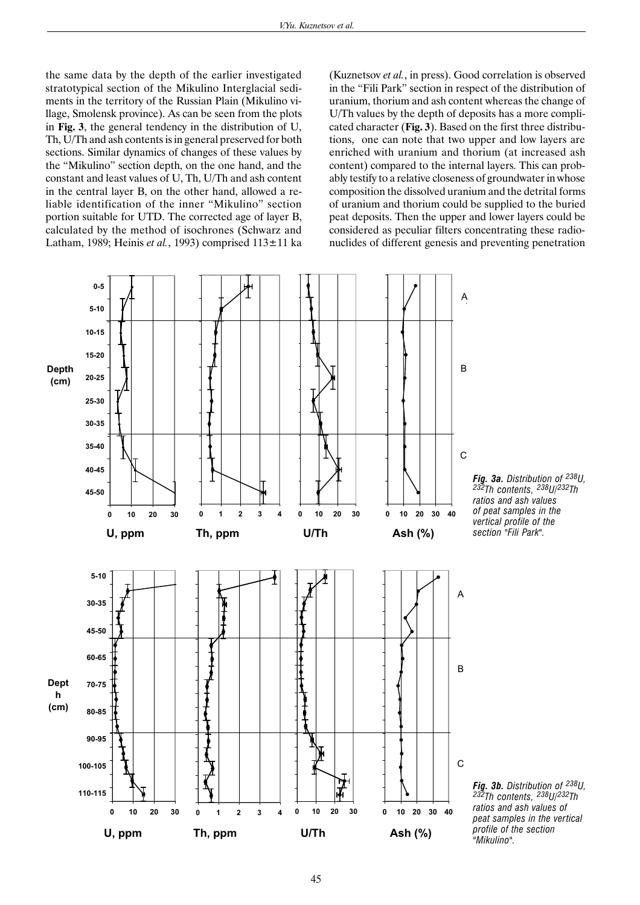the same data by the depth of the earlier investigated stratotypical section of the Mikulino Interglacial sediments in the territory of the Russian Plain (Mikulino village, Smolensk province). As can be seen from the plots in **Fig. 3**, the general tendency in the distribution of U, Th, U/Th and ash contents is in general preserved for both sections. Similar dynamics of changes of these values by the "Mikulino" section depth, on the one hand, and the constant and least values of U, Th, U/Th and ash content in the central layer B, on the other hand, allowed a reliable identification of the inner "Mikulino" section portion suitable for UTD. The corrected age of layer B, calculated by the method of isochrones (Schwarz and Latham, 1989; Heinis *et al.*, 1993) comprised 113±11 ka (Kuznetsov *et al.*, in press). Good correlation is observed in the "Fili Park" section in respect of the distribution of uranium, thorium and ash content whereas the change of U/Th values by the depth of deposits has a more complicated character (**Fig. 3**). Based on the first three distributions, one can note that two upper and low layers are enriched with uranium and thorium (at increased ash content) compared to the internal layers. This can probably testify to a relative closeness of groundwater in whose composition the dissolved uranium and the detrital forms of uranium and thorium could be supplied to the buried peat deposits. Then the upper and lower layers could be considered as peculiar filters concentrating these radionuclides of different genesis and preventing penetration

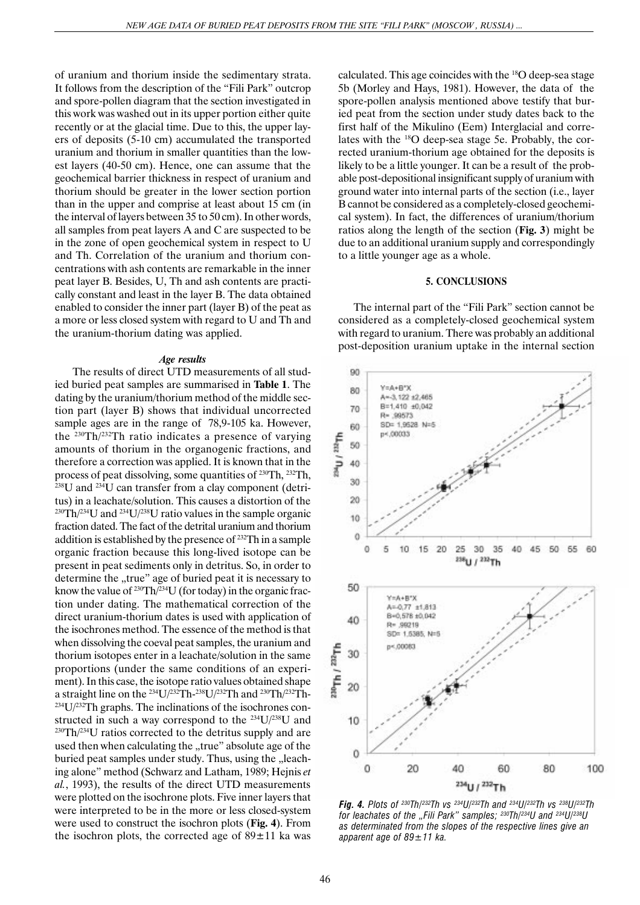of uranium and thorium inside the sedimentary strata. It follows from the description of the "Fili Park" outcrop and spore-pollen diagram that the section investigated in this work was washed out in its upper portion either quite recently or at the glacial time. Due to this, the upper layers of deposits (5-10 cm) accumulated the transported uranium and thorium in smaller quantities than the lowest layers (40-50 cm). Hence, one can assume that the geochemical barrier thickness in respect of uranium and thorium should be greater in the lower section portion than in the upper and comprise at least about 15 cm (in the interval of layers between 35 to 50 cm). In other words, all samples from peat layers A and C are suspected to be in the zone of open geochemical system in respect to U and Th. Correlation of the uranium and thorium concentrations with ash contents are remarkable in the inner peat layer B. Besides, U, Th and ash contents are practically constant and least in the layer B. The data obtained enabled to consider the inner part (layer B) of the peat as a more or less closed system with regard to U and Th and the uranium-thorium dating was applied.

#### *Age results*

 The results of direct UTD measurements of all studied buried peat samples are summarised in **Table 1**. The dating by the uranium/thorium method of the middle section part (layer B) shows that individual uncorrected sample ages are in the range of 78,9-105 ka. However, the 230Th/232Th ratio indicates a presence of varying amounts of thorium in the organogenic fractions, and therefore a correction was applied. It is known that in the process of peat dissolving, some quantities of 230Th, 232Th, 238U and 234U can transfer from a clay component (detritus) in a leachate/solution. This causes a distortion of the <sup>230</sup>Th/<sup>234</sup>U and <sup>234</sup>U/<sup>238</sup>U ratio values in the sample organic fraction dated. The fact of the detrital uranium and thorium addition is established by the presence of 232Th in a sample organic fraction because this long-lived isotope can be present in peat sediments only in detritus. So, in order to determine the "true" age of buried peat it is necessary to know the value of  $230 \text{Th}/234 \text{U}$  (for today) in the organic fraction under dating. The mathematical correction of the direct uranium-thorium dates is used with application of the isochrones method. The essence of the method is that when dissolving the coeval peat samples, the uranium and thorium isotopes enter in a leachate/solution in the same proportions (under the same conditions of an experiment). In this case, the isotope ratio values obtained shape a straight line on the 234U/232Th-238U/232Th and 230Th/232Th-  $234$ U/ $232$ Th graphs. The inclinations of the isochrones constructed in such a way correspond to the  $^{234}U/^{238}U$  and  $230$ Th $/234$ U ratios corrected to the detritus supply and are used then when calculating the "true" absolute age of the buried peat samples under study. Thus, using the "leaching alone" method (Schwarz and Latham, 1989; Hejnis *et al.*, 1993), the results of the direct UTD measurements were plotted on the isochrone plots. Five inner layers that were interpreted to be in the more or less closed-system were used to construct the isochron plots (**Fig. 4**). From the isochron plots, the corrected age of  $89 \pm 11$  ka was calculated. This age coincides with the 18O deep-sea stage 5b (Morley and Hays, 1981). However, the data of the spore-pollen analysis mentioned above testify that buried peat from the section under study dates back to the first half of the Mikulino (Eem) Interglacial and correlates with the 18O deep-sea stage 5e. Probably, the corrected uranium-thorium age obtained for the deposits is likely to be a little younger. It can be a result of the probable post-depositional insignificant supply of uranium with ground water into internal parts of the section (i.e., layer B cannot be considered as a completely-closed geochemical system). In fact, the differences of uranium/thorium ratios along the length of the section (**Fig. 3**) might be due to an additional uranium supply and correspondingly to a little younger age as a whole.

## **5. CONCLUSIONS**

The internal part of the "Fili Park" section cannot be considered as a completely-closed geochemical system with regard to uranium. There was probably an additional post-deposition uranium uptake in the internal section



*Fig. 4. Plots of 230Th/232Th vs 234U/232Th and 234U/232Th vs 238U/232Th for leachates of the "Fili Park" samples; 230Th/234U and 234U/238U as determinated from the slopes of the respective lines give an apparent age of 89±11 ka.*